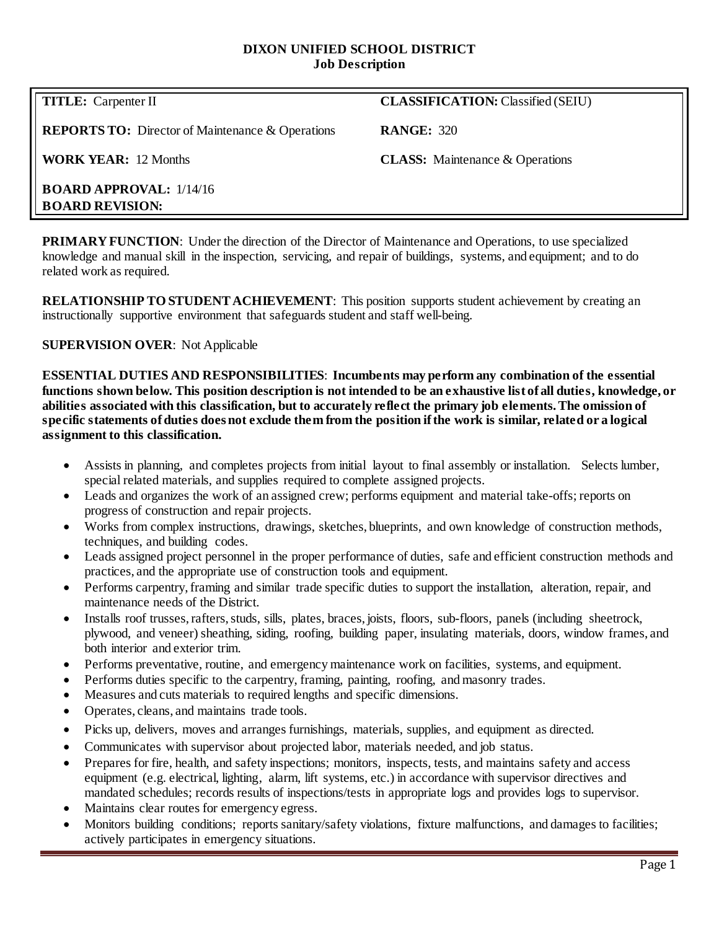### **DIXON UNIFIED SCHOOL DISTRICT Job Description**

**REPORTS TO:** Director of Maintenance & Operations **RANGE:** 320

**TITLE:** Carpenter II **CLASSIFICATION:** Classified (SEIU)

**WORK YEAR:** 12 Months **CLASS:** Maintenance & Operations

**BOARD APPROVAL:** 1/14/16 **BOARD REVISION:**

**PRIMARY FUNCTION:** Under the direction of the Director of Maintenance and Operations, to use specialized knowledge and manual skill in the inspection, servicing, and repair of buildings, systems, and equipment; and to do related work as required.

**RELATIONSHIP TO STUDENT ACHIEVEMENT**: This position supports student achievement by creating an instructionally supportive environment that safeguards student and staff well-being.

## **SUPERVISION OVER**: Not Applicable

**ESSENTIAL DUTIES AND RESPONSIBILITIES**: **Incumbents may perform any combination of the essential functions shown below. This position description is not intended to be an exhaustive list of all duties, knowledge, or abilities associated with this classification, but to accurately reflect the primary job elements. The omission of specific statements of duties does not exclude them from the position if the work is similar, related or a logical assignment to this classification.**

- Assists in planning, and completes projects from initial layout to final assembly or installation. Selects lumber, special related materials, and supplies required to complete assigned projects.
- Leads and organizes the work of an assigned crew; performs equipment and material take-offs; reports on progress of construction and repair projects.
- Works from complex instructions, drawings, sketches, blueprints, and own knowledge of construction methods, techniques, and building codes.
- Leads assigned project personnel in the proper performance of duties, safe and efficient construction methods and practices, and the appropriate use of construction tools and equipment.
- Performs carpentry, framing and similar trade specific duties to support the installation, alteration, repair, and maintenance needs of the District.
- Installs roof trusses, rafters, studs, sills, plates, braces, joists, floors, sub-floors, panels (including sheetrock, plywood, and veneer) sheathing, siding, roofing, building paper, insulating materials, doors, window frames, and both interior and exterior trim.
- Performs preventative, routine, and emergency maintenance work on facilities, systems, and equipment.
- Performs duties specific to the carpentry, framing, painting, roofing, and masonry trades.
- Measures and cuts materials to required lengths and specific dimensions.
- Operates, cleans, and maintains trade tools.
- Picks up, delivers, moves and arranges furnishings, materials, supplies, and equipment as directed.
- Communicates with supervisor about projected labor, materials needed, and job status.
- Prepares for fire, health, and safety inspections; monitors, inspects, tests, and maintains safety and access equipment (e.g. electrical, lighting, alarm, lift systems, etc.) in accordance with supervisor directives and mandated schedules; records results of inspections/tests in appropriate logs and provides logs to supervisor.
- Maintains clear routes for emergency egress.
- Monitors building conditions; reports sanitary/safety violations, fixture malfunctions, and damages to facilities; actively participates in emergency situations.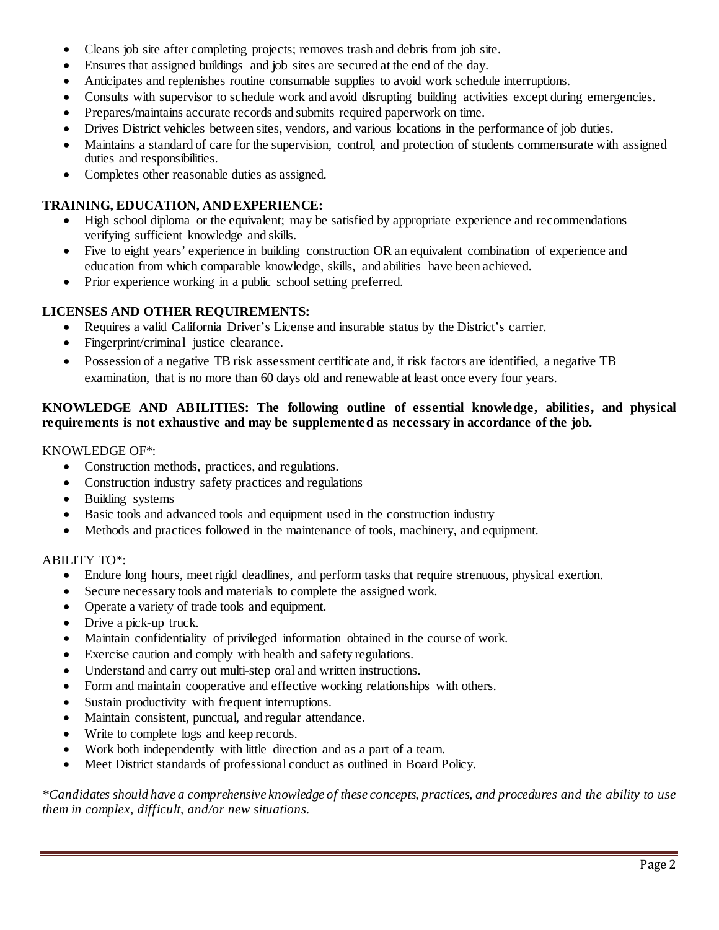- Cleans job site after completing projects; removes trash and debris from job site.
- Ensures that assigned buildings and job sites are secured at the end of the day.
- Anticipates and replenishes routine consumable supplies to avoid work schedule interruptions.
- Consults with supervisor to schedule work and avoid disrupting building activities except during emergencies.
- Prepares/maintains accurate records and submits required paperwork on time.
- Drives District vehicles between sites, vendors, and various locations in the performance of job duties.
- Maintains a standard of care for the supervision, control, and protection of students commensurate with assigned duties and responsibilities.
- Completes other reasonable duties as assigned.

## **TRAINING, EDUCATION, AND EXPERIENCE:**

- High school diploma or the equivalent; may be satisfied by appropriate experience and recommendations verifying sufficient knowledge and skills.
- Five to eight years' experience in building construction OR an equivalent combination of experience and education from which comparable knowledge, skills, and abilities have been achieved.
- Prior experience working in a public school setting preferred.

# **LICENSES AND OTHER REQUIREMENTS:**

- Requires a valid California Driver's License and insurable status by the District's carrier.
- Fingerprint/criminal justice clearance.
- Possession of a negative TB risk assessment certificate and, if risk factors are identified, a negative TB examination, that is no more than 60 days old and renewable at least once every four years.

## **KNOWLEDGE AND ABILITIES: The following outline of essential knowledge, abilities, and physical requirements is not exhaustive and may be supplemented as necessary in accordance of the job.**

### KNOWLEDGE OF\*:

- Construction methods, practices, and regulations.
- Construction industry safety practices and regulations
- Building systems
- Basic tools and advanced tools and equipment used in the construction industry
- Methods and practices followed in the maintenance of tools, machinery, and equipment.

## ABILITY TO\*:

- Endure long hours, meet rigid deadlines, and perform tasks that require strenuous, physical exertion.
- Secure necessary tools and materials to complete the assigned work.
- Operate a variety of trade tools and equipment.
- Drive a pick-up truck.
- Maintain confidentiality of privileged information obtained in the course of work.
- Exercise caution and comply with health and safety regulations.
- Understand and carry out multi-step oral and written instructions.
- Form and maintain cooperative and effective working relationships with others.
- Sustain productivity with frequent interruptions.
- Maintain consistent, punctual, and regular attendance.
- Write to complete logs and keep records.
- Work both independently with little direction and as a part of a team.
- Meet District standards of professional conduct as outlined in Board Policy.

*\*Candidates should have a comprehensive knowledge of these concepts, practices, and procedures and the ability to use them in complex, difficult, and/or new situations.*